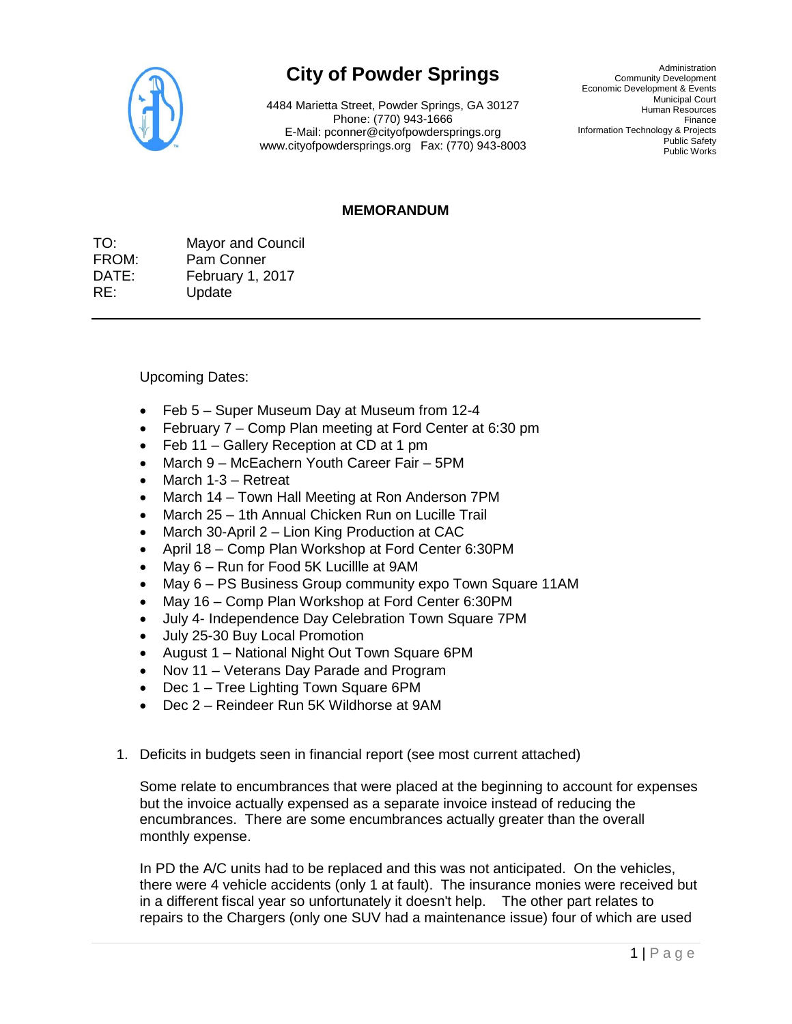

## **City of Powder Springs**

4484 Marietta Street, Powder Springs, GA 30127 Phone: (770) 943-1666 E-Mail: pconner@cityofpowdersprings.org www.cityofpowdersprings.org Fax: (770) 943-8003

Administration Community Development Economic Development & Events Municipal Court Human Resources Finance Information Technology & Projects Public Safety Public Works

## **MEMORANDUM**

TO: Mayor and Council FROM: Pam Conner DATE: February 1, 2017 RE: Update

Upcoming Dates:

- Feb 5 Super Museum Day at Museum from 12-4
- February 7 Comp Plan meeting at Ford Center at 6:30 pm
- Feb 11 Gallery Reception at CD at 1 pm
- March 9 McEachern Youth Career Fair 5PM
- March 1-3 Retreat
- March 14 Town Hall Meeting at Ron Anderson 7PM
- March 25 1th Annual Chicken Run on Lucille Trail
- March 30-April 2 Lion King Production at CAC
- April 18 Comp Plan Workshop at Ford Center 6:30PM
- May 6 Run for Food 5K Lucillle at 9AM
- May 6 PS Business Group community expo Town Square 11AM
- May 16 Comp Plan Workshop at Ford Center 6:30PM
- July 4- Independence Day Celebration Town Square 7PM
- July 25-30 Buy Local Promotion
- August 1 National Night Out Town Square 6PM
- Nov 11 Veterans Day Parade and Program
- Dec 1 Tree Lighting Town Square 6PM
- Dec 2 Reindeer Run 5K Wildhorse at 9AM
- 1. Deficits in budgets seen in financial report (see most current attached)

Some relate to encumbrances that were placed at the beginning to account for expenses but the invoice actually expensed as a separate invoice instead of reducing the encumbrances. There are some encumbrances actually greater than the overall monthly expense.

In PD the A/C units had to be replaced and this was not anticipated. On the vehicles, there were 4 vehicle accidents (only 1 at fault). The insurance monies were received but in a different fiscal year so unfortunately it doesn't help. The other part relates to repairs to the Chargers (only one SUV had a maintenance issue) four of which are used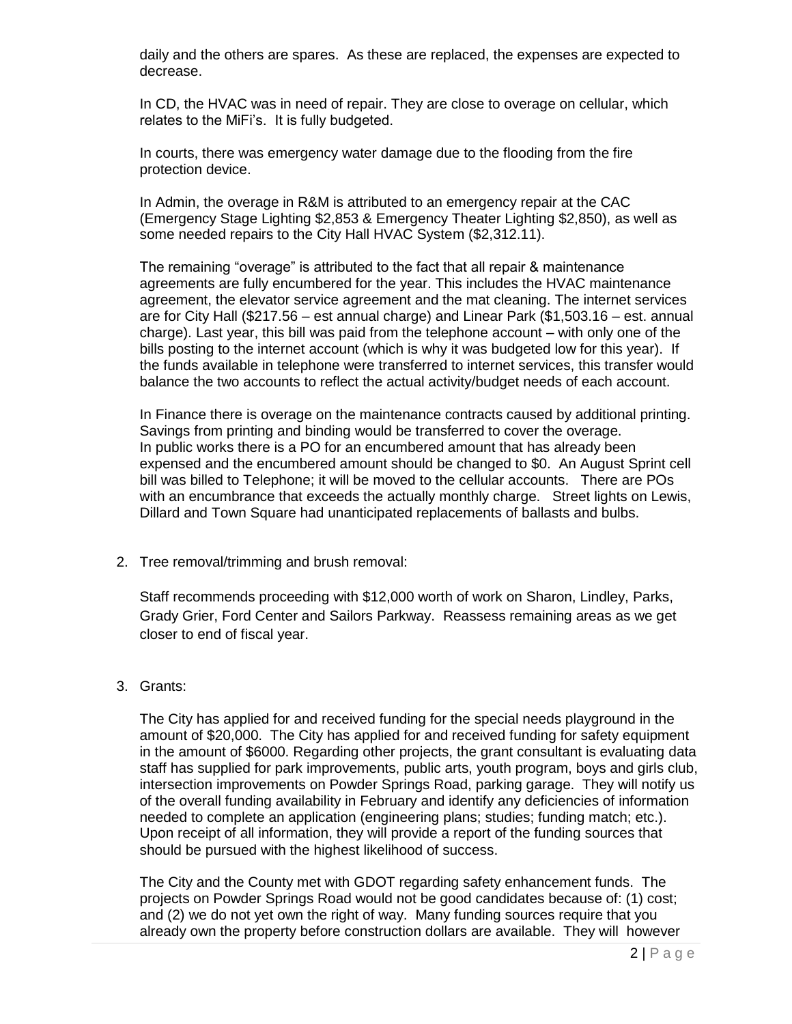daily and the others are spares. As these are replaced, the expenses are expected to decrease.

In CD, the HVAC was in need of repair. They are close to overage on cellular, which relates to the MiFi's. It is fully budgeted.

In courts, there was emergency water damage due to the flooding from the fire protection device.

In Admin, the overage in R&M is attributed to an emergency repair at the CAC (Emergency Stage Lighting \$2,853 & Emergency Theater Lighting \$2,850), as well as some needed repairs to the City Hall HVAC System (\$2,312.11).

The remaining "overage" is attributed to the fact that all repair & maintenance agreements are fully encumbered for the year. This includes the HVAC maintenance agreement, the elevator service agreement and the mat cleaning. The internet services are for City Hall (\$217.56 – est annual charge) and Linear Park (\$1,503.16 – est. annual charge). Last year, this bill was paid from the telephone account – with only one of the bills posting to the internet account (which is why it was budgeted low for this year). If the funds available in telephone were transferred to internet services, this transfer would balance the two accounts to reflect the actual activity/budget needs of each account.

In Finance there is overage on the maintenance contracts caused by additional printing. Savings from printing and binding would be transferred to cover the overage. In public works there is a PO for an encumbered amount that has already been expensed and the encumbered amount should be changed to \$0. An August Sprint cell bill was billed to Telephone; it will be moved to the cellular accounts. There are POs with an encumbrance that exceeds the actually monthly charge. Street lights on Lewis, Dillard and Town Square had unanticipated replacements of ballasts and bulbs.

2. Tree removal/trimming and brush removal:

Staff recommends proceeding with \$12,000 worth of work on Sharon, Lindley, Parks, Grady Grier, Ford Center and Sailors Parkway. Reassess remaining areas as we get closer to end of fiscal year.

## 3. Grants:

The City has applied for and received funding for the special needs playground in the amount of \$20,000. The City has applied for and received funding for safety equipment in the amount of \$6000. Regarding other projects, the grant consultant is evaluating data staff has supplied for park improvements, public arts, youth program, boys and girls club, intersection improvements on Powder Springs Road, parking garage. They will notify us of the overall funding availability in February and identify any deficiencies of information needed to complete an application (engineering plans; studies; funding match; etc.). Upon receipt of all information, they will provide a report of the funding sources that should be pursued with the highest likelihood of success.

The City and the County met with GDOT regarding safety enhancement funds. The projects on Powder Springs Road would not be good candidates because of: (1) cost; and (2) we do not yet own the right of way. Many funding sources require that you already own the property before construction dollars are available. They will however